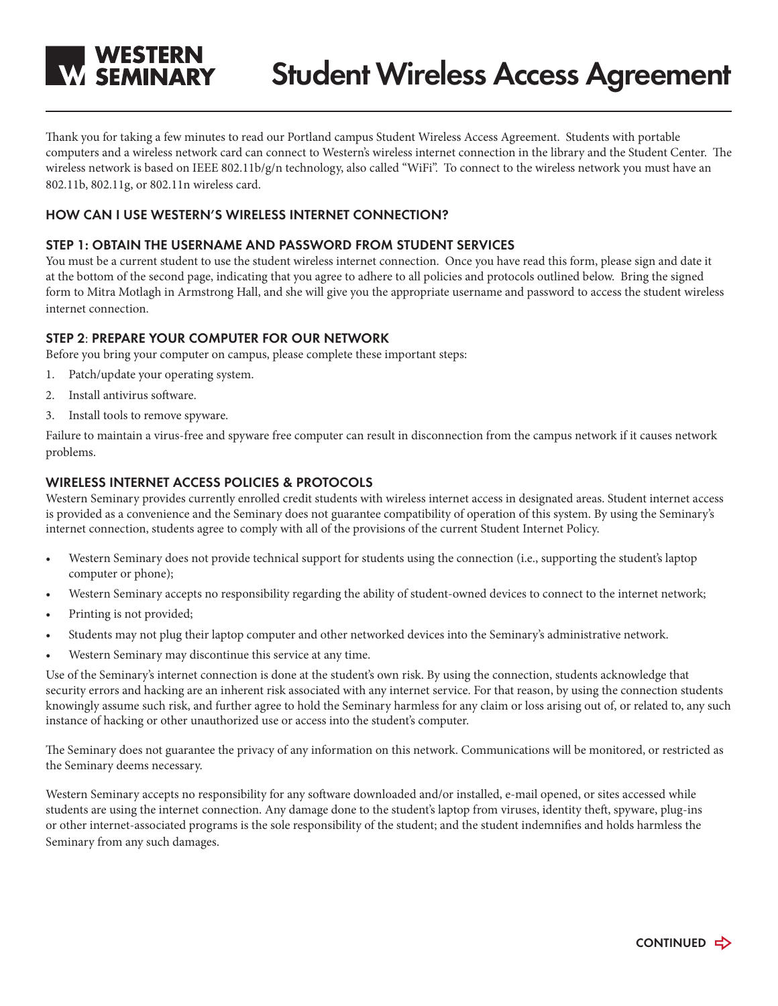

Thank you for taking a few minutes to read our Portland campus Student Wireless Access Agreement. Students with portable computers and a wireless network card can connect to Western's wireless internet connection in the library and the Student Center. The wireless network is based on IEEE 802.11b/g/n technology, also called "WiFi". To connect to the wireless network you must have an 802.11b, 802.11g, or 802.11n wireless card.

### **HOW CAN I USE WESTERN'S WIRELESS INTERNET CONNECTION?**

### **STEP 1: OBTAIN THE USERNAME AND PASSWORD FROM STUDENT SERVICES**

You must be a current student to use the student wireless internet connection. Once you have read this form, please sign and date it at the bottom of the second page, indicating that you agree to adhere to all policies and protocols outlined below. Bring the signed form to Mitra Motlagh in Armstrong Hall, and she will give you the appropriate username and password to access the student wireless internet connection.

## **STEP 2**: **Prepare Your Computer for Our Network**

Before you bring your computer on campus, please complete these important steps:

- 1. Patch/update your operating system.
- 2. Install antivirus software.
- 3. Install tools to remove spyware.

Failure to maintain a virus-free and spyware free computer can result in disconnection from the campus network if it causes network problems.

## **WIRELESS INTERNET ACCESS POLICIES & PROTOCOLS**

Western Seminary provides currently enrolled credit students with wireless internet access in designated areas. Student internet access is provided as a convenience and the Seminary does not guarantee compatibility of operation of this system. By using the Seminary's internet connection, students agree to comply with all of the provisions of the current Student Internet Policy.

- Western Seminary does not provide technical support for students using the connection (i.e., supporting the student's laptop computer or phone);
- Western Seminary accepts no responsibility regarding the ability of student-owned devices to connect to the internet network;
- Printing is not provided;
- Students may not plug their laptop computer and other networked devices into the Seminary's administrative network.
- Western Seminary may discontinue this service at any time.

Use of the Seminary's internet connection is done at the student's own risk. By using the connection, students acknowledge that security errors and hacking are an inherent risk associated with any internet service. For that reason, by using the connection students knowingly assume such risk, and further agree to hold the Seminary harmless for any claim or loss arising out of, or related to, any such instance of hacking or other unauthorized use or access into the student's computer.

The Seminary does not guarantee the privacy of any information on this network. Communications will be monitored, or restricted as the Seminary deems necessary.

Western Seminary accepts no responsibility for any software downloaded and/or installed, e-mail opened, or sites accessed while students are using the internet connection. Any damage done to the student's laptop from viruses, identity theft, spyware, plug-ins or other internet-associated programs is the sole responsibility of the student; and the student indemnifies and holds harmless the Seminary from any such damages.